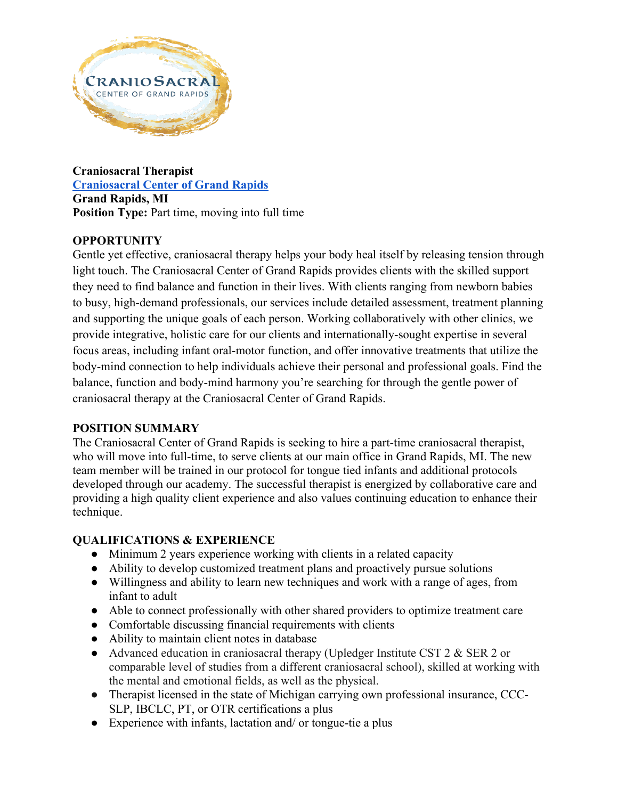

**Craniosacral Therapist [Craniosacral Center of Grand Rapids](https://www.craniosacralgr.com/) Grand Rapids, MI Position Type:** Part time, moving into full time

# **OPPORTUNITY**

Gentle yet effective, craniosacral therapy helps your body heal itself by releasing tension through light touch. The Craniosacral Center of Grand Rapids provides clients with the skilled support they need to find balance and function in their lives. With clients ranging from newborn babies to busy, high-demand professionals, our services include detailed assessment, treatment planning and supporting the unique goals of each person. Working collaboratively with other clinics, we provide integrative, holistic care for our clients and internationally-sought expertise in several focus areas, including infant oral-motor function, and offer innovative treatments that utilize the body-mind connection to help individuals achieve their personal and professional goals. Find the balance, function and body-mind harmony you're searching for through the gentle power of craniosacral therapy at the Craniosacral Center of Grand Rapids.

## **POSITION SUMMARY**

The Craniosacral Center of Grand Rapids is seeking to hire a part-time craniosacral therapist, who will move into full-time, to serve clients at our main office in Grand Rapids, MI. The new team member will be trained in our protocol for tongue tied infants and additional protocols developed through our academy. The successful therapist is energized by collaborative care and providing a high quality client experience and also values continuing education to enhance their technique.

## **QUALIFICATIONS & EXPERIENCE**

- Minimum 2 years experience working with clients in a related capacity
- Ability to develop customized treatment plans and proactively pursue solutions
- Willingness and ability to learn new techniques and work with a range of ages, from infant to adult
- Able to connect professionally with other shared providers to optimize treatment care
- Comfortable discussing financial requirements with clients
- Ability to maintain client notes in database
- Advanced education in craniosacral therapy (Upledger Institute CST 2 & SER 2 or comparable level of studies from a different craniosacral school), skilled at working with the mental and emotional fields, as well as the physical.
- Therapist licensed in the state of Michigan carrying own professional insurance, CCC-SLP, IBCLC, PT, or OTR certifications a plus
- Experience with infants, lactation and/ or tongue-tie a plus